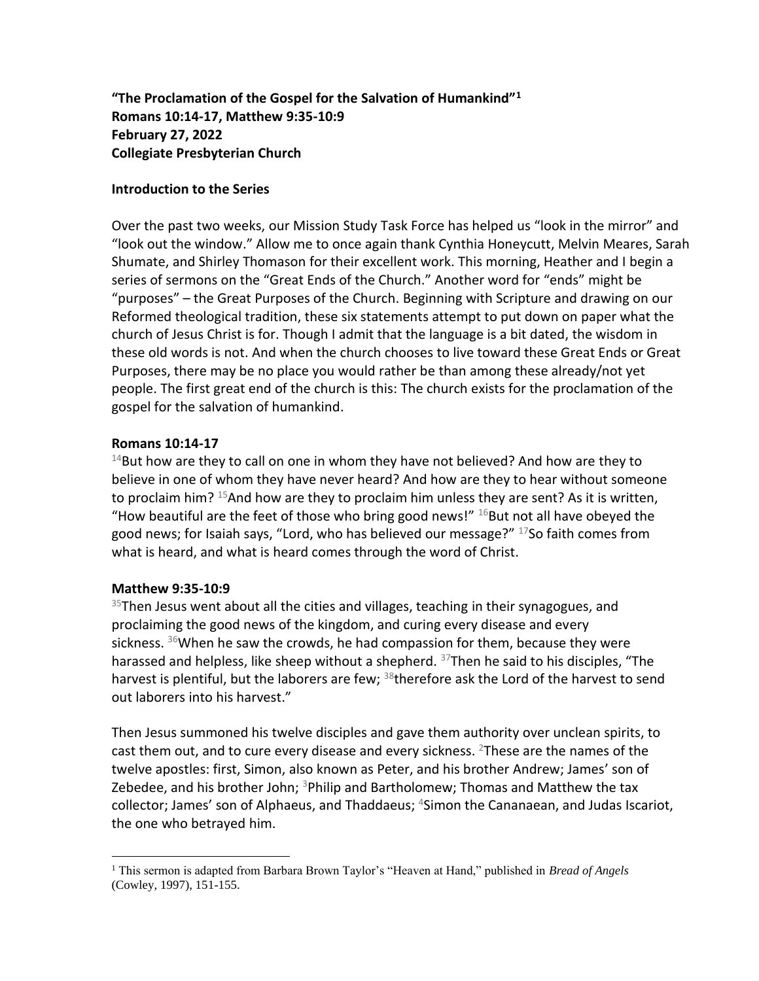**"The Proclamation of the Gospel for the Salvation of Humankind"<sup>1</sup> Romans 10:14-17, Matthew 9:35-10:9 February 27, 2022 Collegiate Presbyterian Church**

## **Introduction to the Series**

Over the past two weeks, our Mission Study Task Force has helped us "look in the mirror" and "look out the window." Allow me to once again thank Cynthia Honeycutt, Melvin Meares, Sarah Shumate, and Shirley Thomason for their excellent work. This morning, Heather and I begin a series of sermons on the "Great Ends of the Church." Another word for "ends" might be "purposes" – the Great Purposes of the Church. Beginning with Scripture and drawing on our Reformed theological tradition, these six statements attempt to put down on paper what the church of Jesus Christ is for. Though I admit that the language is a bit dated, the wisdom in these old words is not. And when the church chooses to live toward these Great Ends or Great Purposes, there may be no place you would rather be than among these already/not yet people. The first great end of the church is this: The church exists for the proclamation of the gospel for the salvation of humankind.

## **Romans 10:14-17**

 $14$ But how are they to call on one in whom they have not believed? And how are they to believe in one of whom they have never heard? And how are they to hear without someone to proclaim him?  $^{15}$ And how are they to proclaim him unless they are sent? As it is written, "How beautiful are the feet of those who bring good news!"  $16$ But not all have obeyed the good news; for Isaiah says, "Lord, who has believed our message?"  $17$ So faith comes from what is heard, and what is heard comes through the word of Christ.

## **Matthew 9:35-10:9**

 $35$ Then Jesus went about all the cities and villages, teaching in their synagogues, and proclaiming the good news of the kingdom, and curing every disease and every sickness.  $36$ When he saw the crowds, he had compassion for them, because they were harassed and helpless, like sheep without a shepherd. <sup>37</sup>Then he said to his disciples, "The harvest is plentiful, but the laborers are few;  $38$  therefore ask the Lord of the harvest to send out laborers into his harvest."

Then Jesus summoned his twelve disciples and gave them authority over unclean spirits, to cast them out, and to cure every disease and every sickness. <sup>2</sup>These are the names of the twelve apostles: first, Simon, also known as Peter, and his brother Andrew; James' son of Zebedee, and his brother John;  ${}^{3}$ Philip and Bartholomew; Thomas and Matthew the tax collector; James' son of Alphaeus, and Thaddaeus; <sup>4</sup>Simon the Cananaean, and Judas Iscariot, the one who betrayed him.

<sup>1</sup> This sermon is adapted from Barbara Brown Taylor's "Heaven at Hand," published in *Bread of Angels* (Cowley, 1997), 151-155.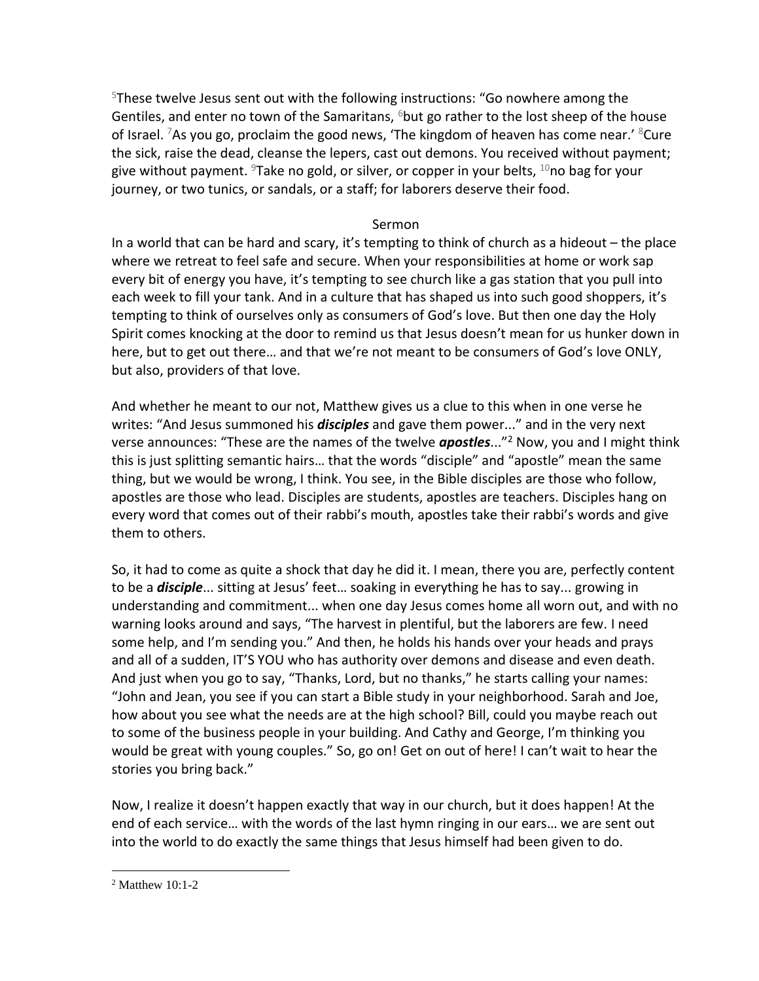$5$ These twelve Jesus sent out with the following instructions: "Go nowhere among the Gentiles, and enter no town of the Samaritans,  $6$ but go rather to the lost sheep of the house of Israel. <sup>7</sup>As you go, proclaim the good news, 'The kingdom of heaven has come near.'  ${}^{8}$ Cure the sick, raise the dead, cleanse the lepers, cast out demons. You received without payment; give without payment.  $9$ Take no gold, or silver, or copper in your belts,  $10$ no bag for your journey, or two tunics, or sandals, or a staff; for laborers deserve their food.

## Sermon

In a world that can be hard and scary, it's tempting to think of church as a hideout – the place where we retreat to feel safe and secure. When your responsibilities at home or work sap every bit of energy you have, it's tempting to see church like a gas station that you pull into each week to fill your tank. And in a culture that has shaped us into such good shoppers, it's tempting to think of ourselves only as consumers of God's love. But then one day the Holy Spirit comes knocking at the door to remind us that Jesus doesn't mean for us hunker down in here, but to get out there… and that we're not meant to be consumers of God's love ONLY, but also, providers of that love.

And whether he meant to our not, Matthew gives us a clue to this when in one verse he writes: "And Jesus summoned his *disciples* and gave them power..." and in the very next verse announces: "These are the names of the twelve *apostles*..."<sup>2</sup> Now, you and I might think this is just splitting semantic hairs… that the words "disciple" and "apostle" mean the same thing, but we would be wrong, I think. You see, in the Bible disciples are those who follow, apostles are those who lead. Disciples are students, apostles are teachers. Disciples hang on every word that comes out of their rabbi's mouth, apostles take their rabbi's words and give them to others.

So, it had to come as quite a shock that day he did it. I mean, there you are, perfectly content to be a *disciple*... sitting at Jesus' feet… soaking in everything he has to say... growing in understanding and commitment... when one day Jesus comes home all worn out, and with no warning looks around and says, "The harvest in plentiful, but the laborers are few. I need some help, and I'm sending you." And then, he holds his hands over your heads and prays and all of a sudden, IT'S YOU who has authority over demons and disease and even death. And just when you go to say, "Thanks, Lord, but no thanks," he starts calling your names: "John and Jean, you see if you can start a Bible study in your neighborhood. Sarah and Joe, how about you see what the needs are at the high school? Bill, could you maybe reach out to some of the business people in your building. And Cathy and George, I'm thinking you would be great with young couples." So, go on! Get on out of here! I can't wait to hear the stories you bring back."

Now, I realize it doesn't happen exactly that way in our church, but it does happen! At the end of each service… with the words of the last hymn ringing in our ears… we are sent out into the world to do exactly the same things that Jesus himself had been given to do.

<sup>2</sup> Matthew 10:1-2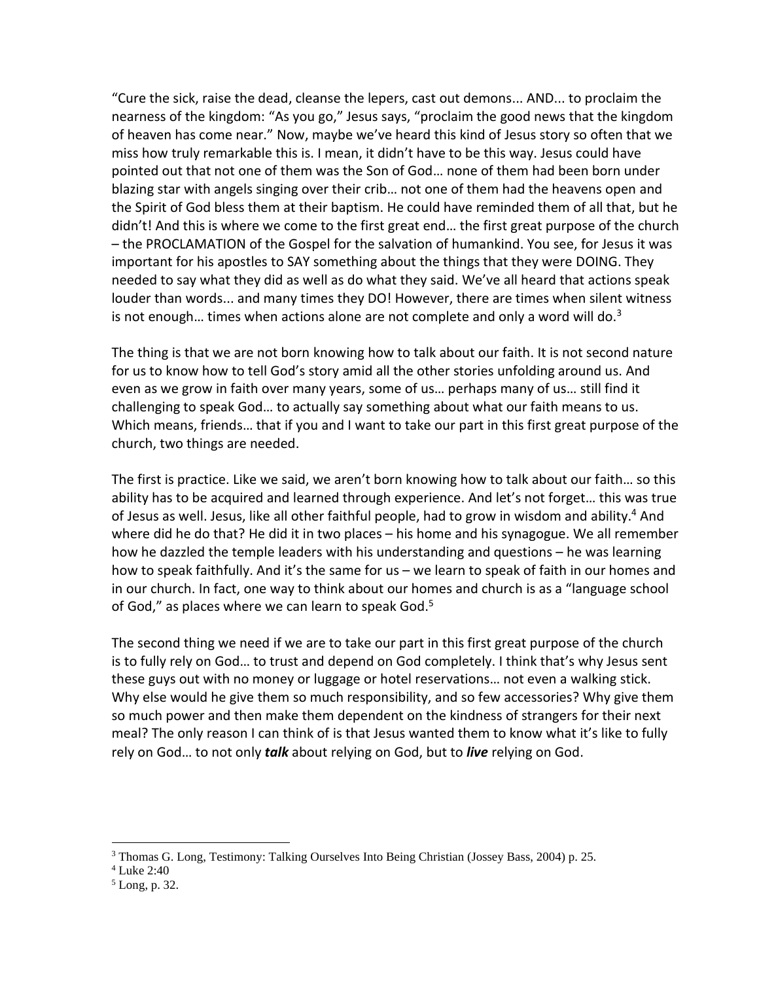"Cure the sick, raise the dead, cleanse the lepers, cast out demons... AND... to proclaim the nearness of the kingdom: "As you go," Jesus says, "proclaim the good news that the kingdom of heaven has come near." Now, maybe we've heard this kind of Jesus story so often that we miss how truly remarkable this is. I mean, it didn't have to be this way. Jesus could have pointed out that not one of them was the Son of God… none of them had been born under blazing star with angels singing over their crib… not one of them had the heavens open and the Spirit of God bless them at their baptism. He could have reminded them of all that, but he didn't! And this is where we come to the first great end… the first great purpose of the church – the PROCLAMATION of the Gospel for the salvation of humankind. You see, for Jesus it was important for his apostles to SAY something about the things that they were DOING. They needed to say what they did as well as do what they said. We've all heard that actions speak louder than words... and many times they DO! However, there are times when silent witness is not enough... times when actions alone are not complete and only a word will do. $3$ 

The thing is that we are not born knowing how to talk about our faith. It is not second nature for us to know how to tell God's story amid all the other stories unfolding around us. And even as we grow in faith over many years, some of us… perhaps many of us… still find it challenging to speak God… to actually say something about what our faith means to us. Which means, friends… that if you and I want to take our part in this first great purpose of the church, two things are needed.

The first is practice. Like we said, we aren't born knowing how to talk about our faith… so this ability has to be acquired and learned through experience. And let's not forget… this was true of Jesus as well. Jesus, like all other faithful people, had to grow in wisdom and ability.<sup>4</sup> And where did he do that? He did it in two places – his home and his synagogue. We all remember how he dazzled the temple leaders with his understanding and questions – he was learning how to speak faithfully. And it's the same for us – we learn to speak of faith in our homes and in our church. In fact, one way to think about our homes and church is as a "language school of God," as places where we can learn to speak God.<sup>5</sup>

The second thing we need if we are to take our part in this first great purpose of the church is to fully rely on God… to trust and depend on God completely. I think that's why Jesus sent these guys out with no money or luggage or hotel reservations… not even a walking stick. Why else would he give them so much responsibility, and so few accessories? Why give them so much power and then make them dependent on the kindness of strangers for their next meal? The only reason I can think of is that Jesus wanted them to know what it's like to fully rely on God… to not only *talk* about relying on God, but to *live* relying on God.

<sup>3</sup> Thomas G. Long, Testimony: Talking Ourselves Into Being Christian (Jossey Bass, 2004) p. 25.

 $4$  Luke 2:40

<sup>5</sup> Long, p. 32.